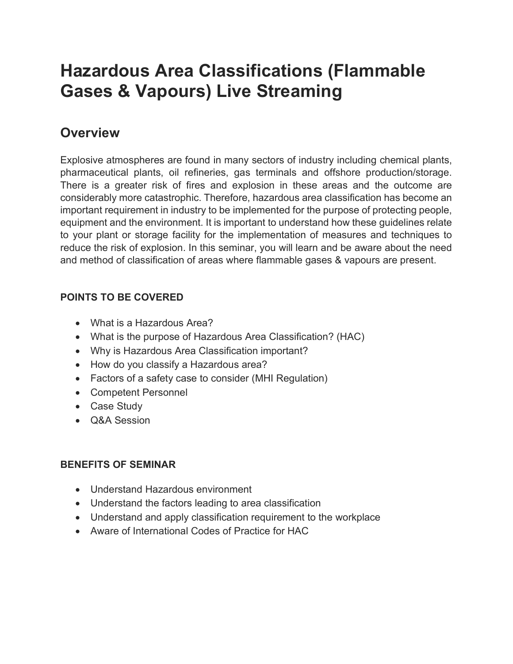# Hazardous Area Classifications (Flammable Gases & Vapours) Live Streaming

## **Overview**

Explosive atmospheres are found in many sectors of industry including chemical plants, pharmaceutical plants, oil refineries, gas terminals and offshore production/storage. There is a greater risk of fires and explosion in these areas and the outcome are considerably more catastrophic. Therefore, hazardous area classification has become an important requirement in industry to be implemented for the purpose of protecting people, equipment and the environment. It is important to understand how these guidelines relate to your plant or storage facility for the implementation of measures and techniques to reduce the risk of explosion. In this seminar, you will learn and be aware about the need and method of classification of areas where flammable gases & vapours are present.

### POINTS TO BE COVERED

- What is a Hazardous Area?
- What is the purpose of Hazardous Area Classification? (HAC)
- Why is Hazardous Area Classification important?
- How do you classify a Hazardous area?
- Factors of a safety case to consider (MHI Regulation)
- Competent Personnel
- Case Study
- Q&A Session

### BENEFITS OF SEMINAR

- Understand Hazardous environment
- Understand the factors leading to area classification
- Understand and apply classification requirement to the workplace
- Aware of International Codes of Practice for HAC